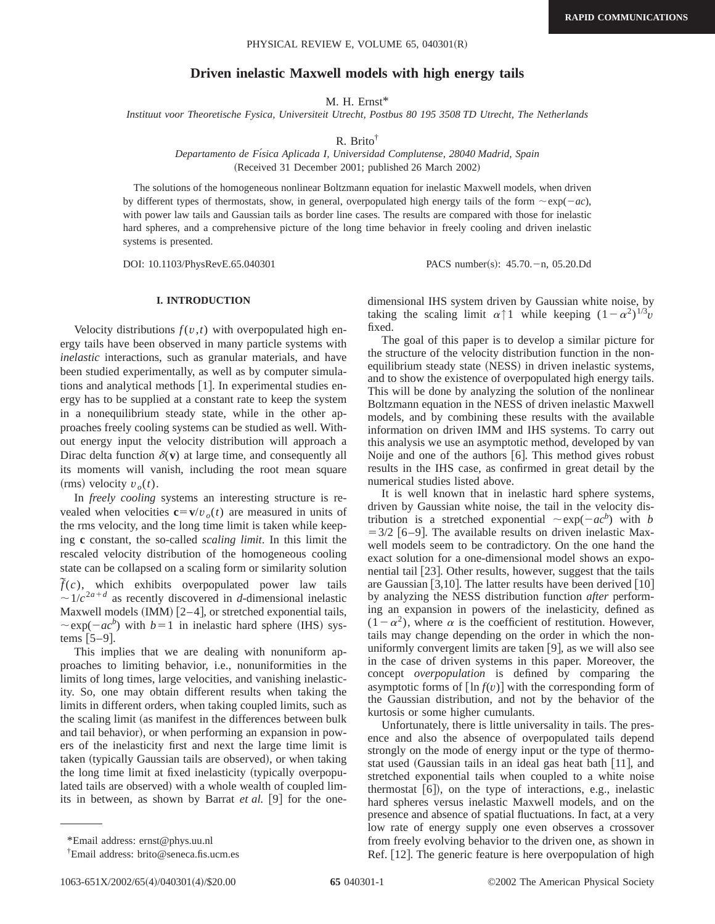# **Driven inelastic Maxwell models with high energy tails**

M. H. Ernst\*

*Instituut voor Theoretische Fysica, Universiteit Utrecht, Postbus 80 195 3508 TD Utrecht, The Netherlands*

R. Brito†

*Departamento de Fı´sica Aplicada I, Universidad Complutense, 28040 Madrid, Spain* (Received 31 December 2001; published 26 March 2002)

The solutions of the homogeneous nonlinear Boltzmann equation for inelastic Maxwell models, when driven by different types of thermostats, show, in general, overpopulated high energy tails of the form  $\sim \exp(-ac)$ , with power law tails and Gaussian tails as border line cases. The results are compared with those for inelastic hard spheres, and a comprehensive picture of the long time behavior in freely cooling and driven inelastic systems is presented.

DOI: 10.1103/PhysRevE.65.040301 PACS number(s): 45.70. - n, 05.20.Dd

# **I. INTRODUCTION**

Velocity distributions  $f(v,t)$  with overpopulated high energy tails have been observed in many particle systems with *inelastic* interactions, such as granular materials, and have been studied experimentally, as well as by computer simulations and analytical methods  $[1]$ . In experimental studies energy has to be supplied at a constant rate to keep the system in a nonequilibrium steady state, while in the other approaches freely cooling systems can be studied as well. Without energy input the velocity distribution will approach a Dirac delta function  $\delta(\mathbf{v})$  at large time, and consequently all its moments will vanish, including the root mean square  $(rms)$  velocity  $v_o(t)$ .

In *freely cooling* systems an interesting structure is revealed when velocities  $\mathbf{c} = \mathbf{v}/v_o(t)$  are measured in units of the rms velocity, and the long time limit is taken while keeping **c** constant, the so-called *scaling limit*. In this limit the rescaled velocity distribution of the homogeneous cooling state can be collapsed on a scaling form or similarity solution  $ilde{f}(c)$ , which exhibits overpopulated power law tails  $\sim 1/c^{2a+d}$  as recently discovered in *d*-dimensional inelastic Maxwell models  $(IMM)$   $[2-4]$ , or stretched exponential tails,  $\sim$ exp( $-ac^b$ ) with *b*=1 in inelastic hard sphere (IHS) systems  $[5-9]$ .

This implies that we are dealing with nonuniform approaches to limiting behavior, i.e., nonuniformities in the limits of long times, large velocities, and vanishing inelasticity. So, one may obtain different results when taking the limits in different orders, when taking coupled limits, such as the scaling limit (as manifest in the differences between bulk and tail behavior), or when performing an expansion in powers of the inelasticity first and next the large time limit is taken (typically Gaussian tails are observed), or when taking the long time limit at fixed inelasticity (typically overpopulated tails are observed) with a whole wealth of coupled limits in between, as shown by Barrat  $et al.$  [9] for the onedimensional IHS system driven by Gaussian white noise, by taking the scaling limit  $\alpha \uparrow 1$  while keeping  $(1-\alpha^2)^{1/3}v$ fixed.

The goal of this paper is to develop a similar picture for the structure of the velocity distribution function in the nonequilibrium steady state (NESS) in driven inelastic systems, and to show the existence of overpopulated high energy tails. This will be done by analyzing the solution of the nonlinear Boltzmann equation in the NESS of driven inelastic Maxwell models, and by combining these results with the available information on driven IMM and IHS systems. To carry out this analysis we use an asymptotic method, developed by van Noije and one of the authors  $[6]$ . This method gives robust results in the IHS case, as confirmed in great detail by the numerical studies listed above.

It is well known that in inelastic hard sphere systems, driven by Gaussian white noise, the tail in the velocity distribution is a stretched exponential  $\sim \exp(-ac^b)$  with *b*  $=$  3/2 [6–9]. The available results on driven inelastic Maxwell models seem to be contradictory. On the one hand the exact solution for a one-dimensional model shows an exponential tail  $[23]$ . Other results, however, suggest that the tails are Gaussian  $[3,10]$ . The latter results have been derived  $[10]$ by analyzing the NESS distribution function *after* performing an expansion in powers of the inelasticity, defined as  $(1-\alpha^2)$ , where  $\alpha$  is the coefficient of restitution. However, tails may change depending on the order in which the nonuniformly convergent limits are taken  $[9]$ , as we will also see in the case of driven systems in this paper. Moreover, the concept *overpopulation* is defined by comparing the asymptotic forms of  $\lceil \ln f(v) \rceil$  with the corresponding form of the Gaussian distribution, and not by the behavior of the kurtosis or some higher cumulants.

Unfortunately, there is little universality in tails. The presence and also the absence of overpopulated tails depend strongly on the mode of energy input or the type of thermostat used (Gaussian tails in an ideal gas heat bath  $[11]$ , and stretched exponential tails when coupled to a white noise thermostat  $[6]$ ), on the type of interactions, e.g., inelastic hard spheres versus inelastic Maxwell models, and on the presence and absence of spatial fluctuations. In fact, at a very low rate of energy supply one even observes a crossover from freely evolving behavior to the driven one, as shown in Ref.  $[12]$ . The generic feature is here overpopulation of high

<sup>\*</sup>Email address: ernst@phys.uu.nl

<sup>†</sup> Email address: brito@seneca.fis.ucm.es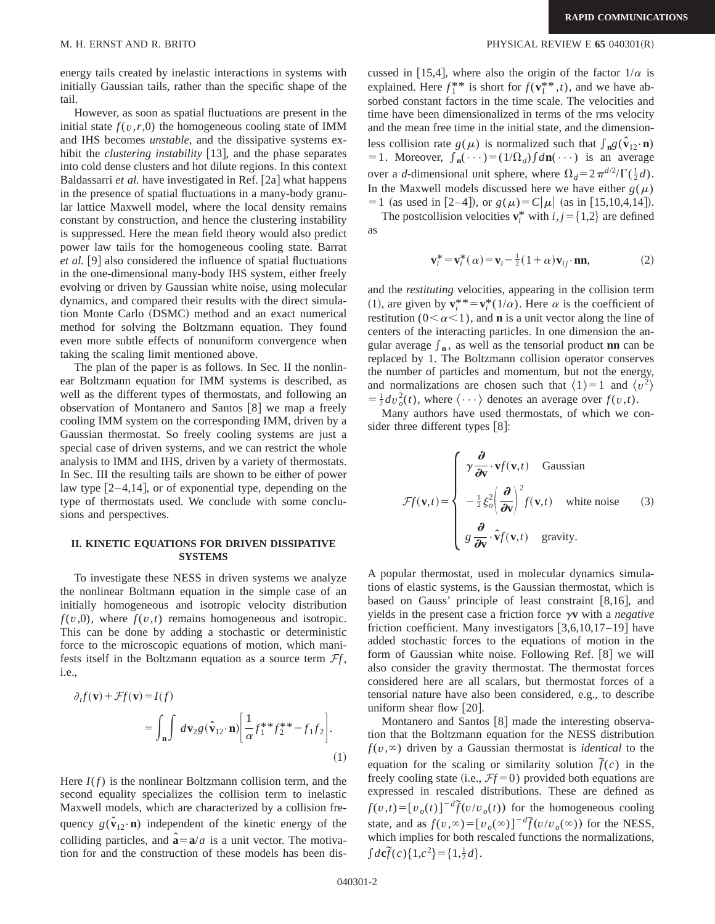energy tails created by inelastic interactions in systems with initially Gaussian tails, rather than the specific shape of the tail.

However, as soon as spatial fluctuations are present in the initial state  $f(v, r, 0)$  the homogeneous cooling state of IMM and IHS becomes *unstable*, and the dissipative systems exhibit the *clustering instability* [13], and the phase separates into cold dense clusters and hot dilute regions. In this context Baldassarri *et al.* have investigated in Ref. [2a] what happens in the presence of spatial fluctuations in a many-body granular lattice Maxwell model, where the local density remains constant by construction, and hence the clustering instability is suppressed. Here the mean field theory would also predict power law tails for the homogeneous cooling state. Barrat *et al.* [9] also considered the influence of spatial fluctuations in the one-dimensional many-body IHS system, either freely evolving or driven by Gaussian white noise, using molecular dynamics, and compared their results with the direct simulation Monte Carlo (DSMC) method and an exact numerical method for solving the Boltzmann equation. They found even more subtle effects of nonuniform convergence when taking the scaling limit mentioned above.

The plan of the paper is as follows. In Sec. II the nonlinear Boltzmann equation for IMM systems is described, as well as the different types of thermostats, and following an observation of Montanero and Santos  $[8]$  we map a freely cooling IMM system on the corresponding IMM, driven by a Gaussian thermostat. So freely cooling systems are just a special case of driven systems, and we can restrict the whole analysis to IMM and IHS, driven by a variety of thermostats. In Sec. III the resulting tails are shown to be either of power law type  $[2-4,14]$ , or of exponential type, depending on the type of thermostats used. We conclude with some conclusions and perspectives.

# **II. KINETIC EQUATIONS FOR DRIVEN DISSIPATIVE SYSTEMS**

To investigate these NESS in driven systems we analyze the nonlinear Boltmann equation in the simple case of an initially homogeneous and isotropic velocity distribution  $f(v,0)$ , where  $f(v,t)$  remains homogeneous and isotropic. This can be done by adding a stochastic or deterministic force to the microscopic equations of motion, which manifests itself in the Boltzmann equation as a source term  $\mathcal{F}f$ , i.e.,

$$
\partial_t f(\mathbf{v}) + \mathcal{F}f(\mathbf{v}) = I(f)
$$
  
= 
$$
\int_{\mathbf{n}} \int d\mathbf{v}_2 g(\hat{\mathbf{v}}_{12} \cdot \mathbf{n}) \left[ \frac{1}{\alpha} f_1^* f_2^* + f_1 f_2 \right].
$$
 (1)

Here  $I(f)$  is the nonlinear Boltzmann collision term, and the second equality specializes the collision term to inelastic Maxwell models, which are characterized by a collision frequency  $g(\hat{\mathbf{v}}_{12} \cdot \mathbf{n})$  independent of the kinetic energy of the colliding particles, and  $\hat{\mathbf{a}} = \mathbf{a}/a$  is a unit vector. The motivation for and the construction of these models has been dis-

cussed in [15,4], where also the origin of the factor  $1/\alpha$  is explained. Here  $f_1^{**}$  is short for  $f(\mathbf{v}_1^{**}, t)$ , and we have absorbed constant factors in the time scale. The velocities and time have been dimensionalized in terms of the rms velocity and the mean free time in the initial state, and the dimensionless collision rate  $g(\mu)$  is normalized such that  $\int_{\mathbf{n}} g(\hat{\mathbf{v}}_{12} \cdot \mathbf{n})$ = 1. Moreover,  $\int_{\mathbf{n}} (\cdots) = (1/\Omega_d) \int d\mathbf{n}(\cdots)$  is an average over a *d*-dimensional unit sphere, where  $\Omega_d = 2 \pi^{d/2} / \Gamma(\frac{1}{2}d)$ . In the Maxwell models discussed here we have either  $g(\mu)$  $=1$  (as used in [2–4]), or  $g(\mu)=C|\mu|$  (as in [15,10,4,14]).

The postcollision velocities  $\mathbf{v}_i^*$  with  $i, j = \{1, 2\}$  are defined as

$$
\mathbf{v}_i^* = \mathbf{v}_i^*(\alpha) = \mathbf{v}_i - \frac{1}{2}(1+\alpha)\mathbf{v}_{ij} \cdot \mathbf{n}\mathbf{n},\tag{2}
$$

and the *restituting* velocities, appearing in the collision term (1), are given by  $\mathbf{v}_i^{**} = \mathbf{v}_i^*(1/\alpha)$ . Here  $\alpha$  is the coefficient of restitution ( $0<\alpha<1$ ), and **n** is a unit vector along the line of centers of the interacting particles. In one dimension the angular average  $f_n$ , as well as the tensorial product **nn** can be replaced by 1. The Boltzmann collision operator conserves the number of particles and momentum, but not the energy, and normalizations are chosen such that  $\langle 1 \rangle = 1$  and  $\langle v^2 \rangle$  $= \frac{1}{2} dv_o^2(t)$ , where  $\langle \cdots \rangle$  denotes an average over  $f(v,t)$ .

Many authors have used thermostats, of which we consider three different types  $[8]$ :

$$
\mathcal{F}f(\mathbf{v},t) = \begin{cases} \gamma \frac{\partial}{\partial \mathbf{v}} \cdot \mathbf{v}f(\mathbf{v},t) & \text{Gaussian} \\ -\frac{1}{2} \xi_o^2 \left(\frac{\partial}{\partial \mathbf{v}}\right)^2 f(\mathbf{v},t) & \text{white noise} \\ g \frac{\partial}{\partial \mathbf{v}} \cdot \hat{\mathbf{v}}f(\mathbf{v},t) & \text{gravity.} \end{cases}
$$
(3)

A popular thermostat, used in molecular dynamics simulations of elastic systems, is the Gaussian thermostat, which is based on Gauss' principle of least constraint  $[8,16]$ , and yields in the present case a friction force  $\gamma v$  with a *negative* friction coefficient. Many investigators  $[3,6,10,17-19]$  have added stochastic forces to the equations of motion in the form of Gaussian white noise. Following Ref.  $[8]$  we will also consider the gravity thermostat. The thermostat forces considered here are all scalars, but thermostat forces of a tensorial nature have also been considered, e.g., to describe uniform shear flow  $[20]$ .

Montanero and Santos  $[8]$  made the interesting observation that the Boltzmann equation for the NESS distribution  $f(v, \infty)$  driven by a Gaussian thermostat is *identical* to the equation for the scaling or similarity solution  $\tilde{f}(c)$  in the freely cooling state (i.e.,  $Ff = 0$ ) provided both equations are expressed in rescaled distributions. These are defined as  $f(v,t) = [v_o(t)]^{-d} \tilde{f}(v/v_o(t))$  for the homogeneous cooling state, and as  $f(v, \infty) = [v_o(\infty)]^{-d} \tilde{f}(v/v_o(\infty))$  for the NESS, which implies for both rescaled functions the normalizations,  $\int d\mathbf{c}\tilde{f}(c)\{1,c^2\} = \{1,\frac{1}{2}d\}.$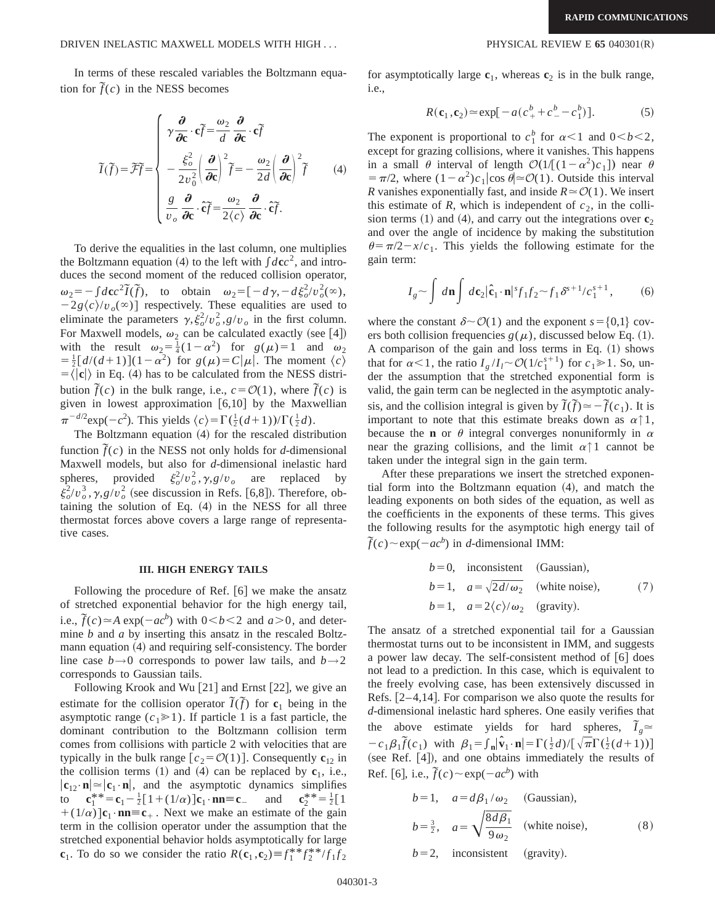In terms of these rescaled variables the Boltzmann equation for  $\tilde{f}(c)$  in the NESS becomes

$$
\widetilde{I}(\widetilde{f}) = \widetilde{\mathcal{F}}\widetilde{f} = \begin{cases}\n\gamma \frac{\partial}{\partial c} \cdot c\widetilde{f} = \frac{\omega_2}{d} \frac{\partial}{\partial c} \cdot c\widetilde{f} \\
-\frac{\xi_o^2}{2v_0^2} \left(\frac{\partial}{\partial c}\right)^2 \widetilde{f} = -\frac{\omega_2}{2d} \left(\frac{\partial}{\partial c}\right)^2 \widetilde{f} \\
\frac{g}{v_o} \frac{\partial}{\partial c} \cdot c\widetilde{f} = \frac{\omega_2}{2\langle c \rangle} \frac{\partial}{\partial c} \cdot c\widetilde{f}.\n\end{cases} (4)
$$

To derive the equalities in the last column, one multiplies the Boltzmann equation (4) to the left with  $\int d\mathbf{c}c^2$ , and introduces the second moment of the reduced collision operator,  $\omega_2 = -\int d\mathbf{c}c^2\tilde{I}(\tilde{f})$ , to obtain  $\omega_2 = \left[-d\gamma, -d\xi_0^2/v_0^2(\infty)\right]$  $-2g\langle c \rangle/v_o(\infty)$  respectively. These equalities are used to eliminate the parameters  $\gamma$ ,  $\xi_o^2/v_o^2$ ,  $g/v_o$  in the first column. For Maxwell models,  $\omega_2$  can be calculated exactly (see [4]) with the result  $\omega_2 = \frac{1}{4}(1 - \alpha^2)$  for  $g(\mu) = 1$  and  $\omega_2$  $= \frac{1}{2} [d/(d+1)](1-\alpha^2)$  for  $g(\mu)=C|\mu|$ . The moment  $\langle c \rangle$  $=$   $\langle |\mathbf{c}| \rangle$  in Eq. (4) has to be calculated from the NESS distribution  $\tilde{f}(c)$  in the bulk range, i.e.,  $c = \mathcal{O}(1)$ , where  $\tilde{f}(c)$  is given in lowest approximation  $[6,10]$  by the Maxwellian  $\pi^{-d/2} \exp(-c^2)$ . This yields  $\langle c \rangle = \Gamma(\frac{1}{2}(d+1)) / \Gamma(\frac{1}{2}d)$ .

The Boltzmann equation  $(4)$  for the rescaled distribution function  $\tilde{f}(c)$  in the NESS not only holds for *d*-dimensional Maxwell models, but also for *d*-dimensional inelastic hard spheres, provided  $\xi_o^2/v_o^2, \gamma, g/v_o$  are replaced by  $\xi_o^2/v_o^3$ ,  $\gamma$ ,  $g/v_o^2$  (see discussion in Refs. [6,8]). Therefore, obtaining the solution of Eq.  $(4)$  in the NESS for all three thermostat forces above covers a large range of representative cases.

### **III. HIGH ENERGY TAILS**

Following the procedure of Ref.  $[6]$  we make the ansatz of stretched exponential behavior for the high energy tail, i.e.,  $\tilde{f}(c) \approx A \exp(-ac^b)$  with  $0 < b < 2$  and  $a > 0$ , and determine *b* and *a* by inserting this ansatz in the rescaled Boltzmann equation  $(4)$  and requiring self-consistency. The border line case  $b \rightarrow 0$  corresponds to power law tails, and  $b \rightarrow 2$ corresponds to Gaussian tails.

Following Krook and Wu  $[21]$  and Ernst  $[22]$ , we give an estimate for the collision operator  $\tilde{I}(\tilde{f})$  for  $\mathbf{c}_1$  being in the asymptotic range  $(c_1 \ge 1)$ . If particle 1 is a fast particle, the dominant contribution to the Boltzmann collision term comes from collisions with particle 2 with velocities that are typically in the bulk range  $[c_2 = \mathcal{O}(1)]$ . Consequently  $c_{12}$  in the collision terms  $(1)$  and  $(4)$  can be replaced by  $c_1$ , i.e.,  $|\mathbf{c}_{12} \cdot \mathbf{n}| \approx |\mathbf{c}_1 \cdot \mathbf{n}|$ , and the asymptotic dynamics simplifies to  $\mathbf{c}_1^* = \mathbf{c}_1 - \frac{1}{2} [1 + (1/\alpha)] \mathbf{c}_1 \cdot \mathbf{n} = \mathbf{c}_-$  and  $\mathbf{c}_2^*$  $_{2}^{**}=\frac{1}{2} [1$  $+(1/\alpha)$   $\mathbf{c}_1 \cdot \mathbf{n} = \mathbf{c}_+$ . Next we make an estimate of the gain term in the collision operator under the assumption that the stretched exponential behavior holds asymptotically for large **c**<sub>1</sub>. To do so we consider the ratio  $R(\mathbf{c}_1, \mathbf{c}_2) \equiv f_1^* f_2^* / f_1 f_2$ 

for asymptotically large  $c_1$ , whereas  $c_2$  is in the bulk range, i.e.,

$$
R(\mathbf{c}_1, \mathbf{c}_2) \approx \exp[-a(c_+^b + c_-^b - c_1^b)].
$$
 (5)

The exponent is proportional to  $c_1^b$  for  $\alpha < 1$  and  $0 < b < 2$ , except for grazing collisions, where it vanishes. This happens in a small  $\theta$  interval of length  $\mathcal{O}(1/[(1-\alpha^2)c_1])$  near  $\theta$  $= \pi/2$ , where  $(1-\alpha^2)c_1|\cos \theta| \approx \mathcal{O}(1)$ . Outside this interval *R* vanishes exponentially fast, and inside  $R \approx \mathcal{O}(1)$ . We insert this estimate of *R*, which is independent of  $c<sub>2</sub>$ , in the collision terms  $(1)$  and  $(4)$ , and carry out the integrations over  $c_2$ and over the angle of incidence by making the substitution  $\theta = \pi/2 - x/c_1$ . This yields the following estimate for the gain term:

$$
I_g \sim \int d\mathbf{n} \int d\mathbf{c}_2 |\hat{\mathbf{c}}_1 \cdot \mathbf{n}|^s f_1 f_2 \sim f_1 \delta^{s+1} / c_1^{s+1}, \tag{6}
$$

where the constant  $\delta \sim \mathcal{O}(1)$  and the exponent  $s = \{0,1\}$  covers both collision frequencies  $g(\mu)$ , discussed below Eq. (1). A comparison of the gain and loss terms in Eq.  $(1)$  shows that for  $\alpha < 1$ , the ratio  $I_g / I_l \sim \mathcal{O}(1/c_1^{s+1})$  for  $c_1 \ge 1$ . So, under the assumption that the stretched exponential form is valid, the gain term can be neglected in the asymptotic analysis, and the collision integral is given by  $\tilde{I}(\tilde{f}) \approx -\tilde{f}(c_1)$ . It is important to note that this estimate breaks down as  $\alpha \uparrow 1$ , because the **n** or  $\theta$  integral converges nonuniformly in  $\alpha$ near the grazing collisions, and the limit  $\alpha \uparrow 1$  cannot be taken under the integral sign in the gain term.

After these preparations we insert the stretched exponential form into the Boltzmann equation  $(4)$ , and match the leading exponents on both sides of the equation, as well as the coefficients in the exponents of these terms. This gives the following results for the asymptotic high energy tail of  $\tilde{f}(c) \sim \exp(-ac^b)$  in *d*-dimensional IMM:

$$
b=0, \text{ inconsistent} \text{ (Gaussian)},
$$
  
\n
$$
b=1, \quad a=\sqrt{2d/\omega_2} \text{ (white noise)}, \quad (7)
$$
  
\n
$$
b=1, \quad a=2\langle c \rangle/\omega_2 \text{ (gravity)}.
$$

The ansatz of a stretched exponential tail for a Gaussian thermostat turns out to be inconsistent in IMM, and suggests a power law decay. The self-consistent method of  $\vert 6 \vert$  does not lead to a prediction. In this case, which is equivalent to the freely evolving case, has been extensively discussed in Refs.  $[2-4,14]$ . For comparison we also quote the results for *d*-dimensional inelastic hard spheres. One easily verifies that the above estimate yields for hard spheres,  $\tilde{I}_g$   $\approx$  $-c_1\beta_1 \tilde{f}(c_1)$  with  $\beta_1 = \int_{\mathbf{n}} |\hat{\mathbf{v}}_1 \cdot \mathbf{n}| = \Gamma(\frac{1}{2}d)/[\sqrt{\pi} \Gamma(\frac{1}{2}(d+1))]$ (see Ref.  $[4]$ ), and one obtains immediately the results of Ref. [6], i.e.,  $\tilde{f}(c) \sim \exp(-ac^b)$  with

$$
b=1, \quad a=d\beta_1/\omega_2 \quad \text{(Gaussian)},
$$
\n
$$
b=\frac{3}{2}, \quad a=\sqrt{\frac{8d\beta_1}{9\omega_2}} \quad \text{(white noise)}, \tag{8}
$$

$$
b=2
$$
, inconsistent (gravity).